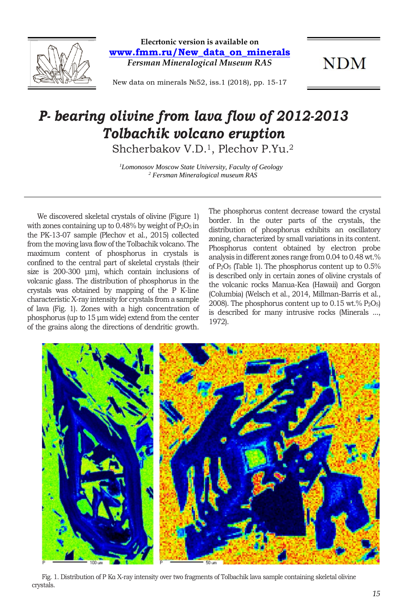

**Elecrtonic version is available on www.fmm.ru/New\_data\_on\_minerals** *Fersman Mineralogical Museum RAS*

**NDM** 

New data on minerals №52, iss.1 (2018), pp. 15-17

## *P- bearing olivine from lava flow of 2012-2013 Tolbachik volcano eruption*

Shcherbakov V.D.1, Plechov P.Yu.<sup>2</sup>

*1 Lomonosov Moscow State University, Faculty of Geology <sup>2</sup> Fersman Mineralogical museum RAS*

We discovered skeletal crystals of olivine (Figure 1) with zones containing up to  $0.48\%$  by weight of  $P_2O_5$  in the PK-13-07 sample (Plechov et al., 2015) collected from the moving lava flow of the Tolbachik volcano. The maximum content of phosphorus in crystals is confined to the central part of skeletal crystals (their size is 200-300 μm), which contain inclusions of volcanic glass. The distribution of phosphorus in the crystals was obtained by mapping of the P K-line characteristic X-ray intensity for crystals from a sample of lava (Fig. 1). Zones with a high concentration of phosphorus (up to 15 μm wide) extend from the center of the grains along the directions of dendritic growth.

The phosphorus content decrease toward the crystal border. In the outer parts of the crystals, the distribution of phosphorus exhibits an oscillatory zoning, characterized by small variations in its content. Phosphorus content obtained by electron probe analysis in different zones range from 0.04 to 0.48 wt.% of P2O<sup>5</sup> (Table 1). The phosphorus content up to 0.5% is described only in certain zones of olivine crystals of the volcanic rocks Manua-Kea (Hawaii) and Gorgon (Columbia) (Welsch et al., 2014, Millman-Barris et al., 2008). The phosphorus content up to  $0.15$  wt. $%$  P<sub>2</sub>O<sub>5</sub>) is described for many intrusive rocks (Minerals ..., 1972).



Fig. 1. Distribution of P Kα X-ray intensity over two fragments of Tolbachik lava sample containing skeletal olivine crystals.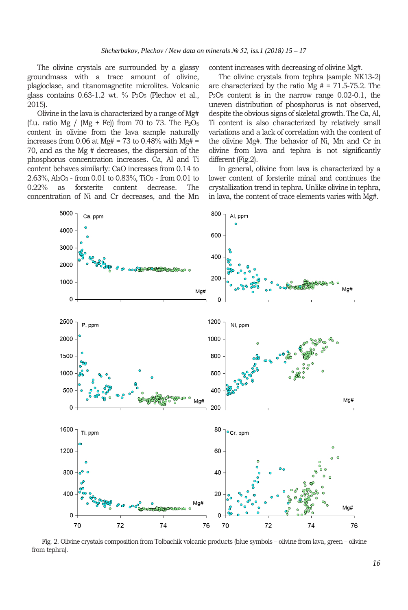The olivine crystals are surrounded by a glassy groundmass with a trace amount of olivine, plagioclase, and titanomagnetite microlites. Volcanic glass contains  $0.63-1.2$  wt. %  $P_2O_5$  (Plechov et al., 2015).

Olivine in the lava is characterized by a range of Mg# (f.u. ratio Mg / (Mg + Fe)) from 70 to 73. The  $P_2O_5$ content in olivine from the lava sample naturally increases from 0.06 at  $Mg# = 73$  to 0.48% with  $Mg# =$ 70, and as the Mg # decreases, the dispersion of the phosphorus concentration increases. Ca, Al and Ti content behaves similarly: CaO increases from 0.14 to  $2.63\%$ , Al<sub>2</sub>O<sub>3</sub> - from 0.01 to 0.83%, TiO<sub>2</sub> - from 0.01 to 0.22% as forsterite content decrease. The 0.22% as forsterite content decrease. The concentration of Ni and Cr decreases, and the Mn

content increases with decreasing of olivine Mg#.

The olivine crystals from tephra (sample NK13-2) are characterized by the ratio Mg  $# = 71.5-75.2$ . The P2O<sup>5</sup> content is in the narrow range 0.02-0.1, the uneven distribution of phosphorus is not observed, despite the obvious signs of skeletal growth. The Ca, Al, Ti content is also characterized by relatively small variations and a lack of correlation with the content of the olivine Mg#. The behavior of Ni, Mn and Cr in olivine from lava and tephra is not significantly different (Fig.2).

In general, olivine from lava is characterized by a lower content of forsterite minal and continues the crystallization trend in tephra. Unlike olivine in tephra, in lava, the content of trace elements varies with Mg#.



Fig. 2. Olivine crystals composition from Tolbachik volcanic products (blue symbols – olivine from lava, green – olivine from tephra).